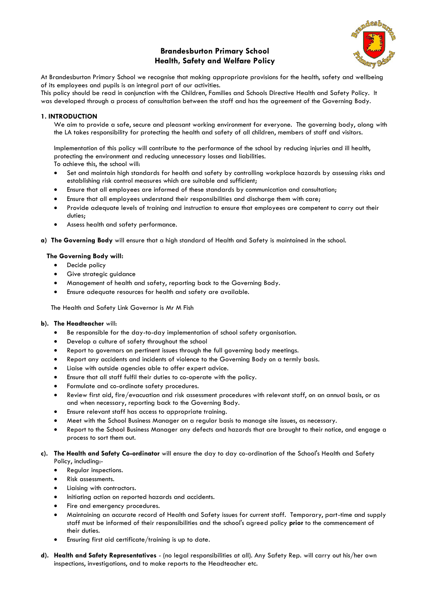# **Brandesburton Primary School Health, Safety and Welfare Policy**



At Brandesburton Primary School we recognise that making appropriate provisions for the health, safety and wellbeing of its employees and pupils is an integral part of our activities.

This policy should be read in conjunction with the Children, Families and Schools Directive Health and Safety Policy. It was developed through a process of consultation between the staff and has the agreement of the Governing Body.

## **1. INTRODUCTION**

We aim to provide a safe, secure and pleasant working environment for everyone. The governing body, along with the LA takes responsibility for protecting the health and safety of all children, members of staff and visitors.

Implementation of this policy will contribute to the performance of the school by reducing injuries and ill health, protecting the environment and reducing unnecessary losses and liabilities. To achieve this, the school will:

- Set and maintain high standards for health and safety by controlling workplace hazards by assessing risks and establishing risk control measures which are suitable and sufficient;
- Ensure that all employees are informed of these standards by communication and consultation;
- Ensure that all employees understand their responsibilities and discharge them with care;
- Provide adequate levels of training and instruction to ensure that employees are competent to carry out their duties;
- Assess health and safety performance.
- **a) The Governing Body** will ensure that a high standard of Health and Safety is maintained in the school.

## **The Governing Body will:**

- Decide policy
- Give strategic guidance
- Management of health and safety, reporting back to the Governing Body.
- Ensure adequate resources for health and safety are available.

The Health and Safety Link Governor is Mr M Fish

## **b). The Headteacher** will:

- Be responsible for the day-to-day implementation of school safety organisation.
- Develop a culture of safety throughout the school
- Report to governors on pertinent issues through the full governing body meetings.
- Report any accidents and incidents of violence to the Governing Body on a termly basis.
- Liaise with outside agencies able to offer expert advice.
- Ensure that all staff fulfil their duties to co-operate with the policy.
- Formulate and co-ordinate safety procedures.
- Review first aid, fire/evacuation and risk assessment procedures with relevant staff, on an annual basis, or as and when necessary, reporting back to the Governing Body.
- Ensure relevant staff has access to appropriate training.
- Meet with the School Business Manager on a regular basis to manage site issues, as necessary.
- Report to the School Business Manager any defects and hazards that are brought to their notice, and engage a process to sort them out.

#### **c). The Health and Safety Co-ordinator** will ensure the day to day co-ordination of the School's Health and Safety Policy, including:-

- Regular inspections.
- Risk assessments.
- Liaising with contractors.
- Initiating action on reported hazards and accidents.
- Fire and emergency procedures.
- Maintaining an accurate record of Health and Safety issues for current staff. Temporary, part-time and supply staff must be informed of their responsibilities and the school's agreed policy **prior** to the commencement of their duties.
- Ensuring first aid certificate/training is up to date.
- **d). Health and Safety Representatives** (no legal responsibilities at all). Any Safety Rep. will carry out his/her own inspections, investigations, and to make reports to the Headteacher etc.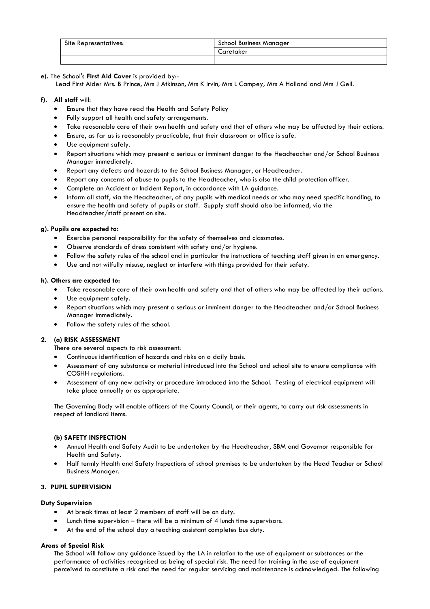| Site Representatives: | School Business Manager |
|-----------------------|-------------------------|
|                       | Caretaker               |
|                       |                         |

## **e).** The School's **First Aid Cover** is provided by:-

Lead First Aider Mrs. B Prince, Mrs J Atkinson, Mrs K Irvin, Mrs L Campey, Mrs A Holland and Mrs J Gell.

#### **f). All staff** will:

- Ensure that they have read the Health and Safety Policy
- Fully support all health and safety arrangements.
- Take reasonable care of their own health and safety and that of others who may be affected by their actions.
- Ensure, as far as is reasonably practicable, that their classroom or office is safe.
- Use equipment safely.
- Report situations which may present a serious or imminent danger to the Headteacher and/or School Business Manager immediately.
- Report any defects and hazards to the School Business Manager, or Headteacher.
- Report any concerns of abuse to pupils to the Headteacher, who is also the child protection officer.
- Complete an Accident or Incident Report, in accordance with LA guidance.
- Inform all staff, via the Headteacher, of any pupils with medical needs or who may need specific handling, to ensure the health and safety of pupils or staff. Supply staff should also be informed, via the Headteacher/staff present on site.

### **g). Pupils are expected to:**

- Exercise personal responsibility for the safety of themselves and classmates.
- Observe standards of dress consistent with safety and/or hygiene.
- Follow the safety rules of the school and in particular the instructions of teaching staff given in an emergency.
- Use and not wilfully misuse, neglect or interfere with things provided for their safety.

### **h). Others are expected to:**

- Take reasonable care of their own health and safety and that of others who may be affected by their actions.
- Use equipment safely.
- Report situations which may present a serious or imminent danger to the Headteacher and/or School Business Manager immediately.
- Follow the safety rules of the school.

## **2. (a) RISK ASSESSMENT**

There are several aspects to risk assessment:

- Continuous identification of hazards and risks on a daily basis.
- Assessment of any substance or material introduced into the School and school site to ensure compliance with COSHH regulations.
- Assessment of any new activity or procedure introduced into the School. Testing of electrical equipment will take place annually or as appropriate.

The Governing Body will enable officers of the County Council, or their agents, to carry out risk assessments in respect of landlord items.

## **(b) SAFETY INSPECTION**

- Annual Health and Safety Audit to be undertaken by the Headteacher, SBM and Governor responsible for Health and Safety.
- Half termly Health and Safety Inspections of school premises to be undertaken by the Head Teacher or School Business Manager.

## **3. PUPIL SUPERVISION**

#### **Duty Supervision**

- At break times at least 2 members of staff will be on duty.
- Lunch time supervision  $-$  there will be a minimum of 4 lunch time supervisors.
- At the end of the school day a teaching assistant completes bus duty.

#### **Areas of Special Risk**

The School will follow any guidance issued by the LA in relation to the use of equipment or substances or the performance of activities recognised as being of special risk. The need for training in the use of equipment perceived to constitute a risk and the need for regular servicing and maintenance is acknowledged. The following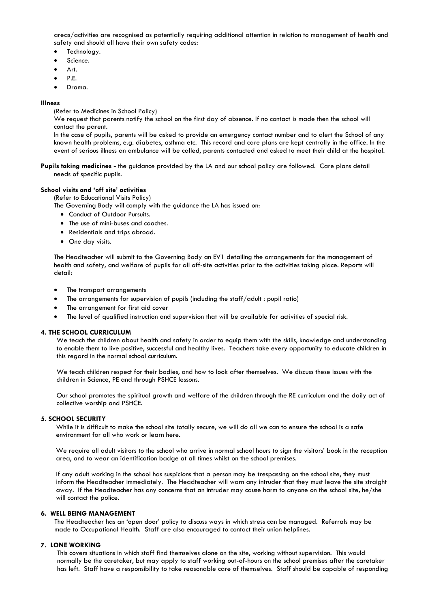areas/activities are recognised as potentially requiring additional attention in relation to management of health and safety and should all have their own safety codes:

- Technology.
- Science.
- Art.
- P.E.
- Drama.

#### **Illness**

(Refer to Medicines in School Policy)

We request that parents notify the school on the first day of absence. If no contact is made then the school will contact the parent.

In the case of pupils, parents will be asked to provide an emergency contact number and to alert the School of any known health problems, e.g. diabetes, asthma etc. This record and care plans are kept centrally in the office. In the event of serious illness an ambulance will be called, parents contacted and asked to meet their child at the hospital.

**Pupils taking medicines -** the guidance provided by the LA and our school policy are followed. Care plans detail needs of specific pupils.

#### **School visits and 'off site' activities**

(Refer to Educational Visits Policy)

The Governing Body will comply with the guidance the LA has issued on:

- Conduct of Outdoor Pursuits.
- The use of mini-buses and coaches.
- Residentials and trips abroad.
- One day visits.

The Headteacher will submit to the Governing Body an EV1 detailing the arrangements for the management of health and safety, and welfare of pupils for all off-site activities prior to the activities taking place. Reports will detail:

- The transport arrangements
- The arrangements for supervision of pupils (including the staff/adult : pupil ratio)
- The arrangement for first aid cover
- The level of qualified instruction and supervision that will be available for activities of special risk.

#### **4. THE SCHOOL CURRICULUM**

We teach the children about health and safety in order to equip them with the skills, knowledge and understanding to enable them to live positive, successful and healthy lives. Teachers take every opportunity to educate children in this regard in the normal school curriculum.

We teach children respect for their bodies, and how to look after themselves. We discuss these issues with the children in Science, PE and through PSHCE lessons.

Our school promotes the spiritual growth and welfare of the children through the RE curriculum and the daily act of collective worship and PSHCE.

#### **5. SCHOOL SECURITY**

While it is difficult to make the school site totally secure, we will do all we can to ensure the school is a safe environment for all who work or learn here.

We require all adult visitors to the school who arrive in normal school hours to sign the visitors' book in the reception area, and to wear an identification badge at all times whilst on the school premises.

If any adult working in the school has suspicions that a person may be trespassing on the school site, they must inform the Headteacher immediately. The Headteacher will warn any intruder that they must leave the site straight away. If the Headteacher has any concerns that an intruder may cause harm to anyone on the school site, he/she will contact the police.

#### **6. WELL BEING MANAGEMENT**

The Headteacher has an 'open door' policy to discuss ways in which stress can be managed. Referrals may be made to Occupational Health. Staff are also encouraged to contact their union helplines.

#### **7. LONE WORKING**

This covers situations in which staff find themselves alone on the site, working without supervision. This would normally be the caretaker, but may apply to staff working out-of-hours on the school premises after the caretaker has left. Staff have a responsibility to take reasonable care of themselves. Staff should be capable of responding